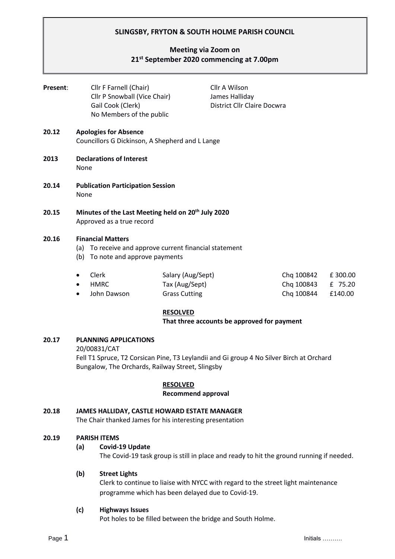# **SLINGSBY, FRYTON & SOUTH HOLME PARISH COUNCIL**

# **Meeting via Zoom on 21 st September 2020 commencing at 7.00pm**

| Present: | Cllr F Farnell (Chair)<br>Cllr P Snowball (Vice Chair)<br>Gail Cook (Clerk)<br>No Members of the public                      |                                                             | Cllr A Wilson<br>James Halliday<br>District Cllr Claire Docwra |                                        |                               |
|----------|------------------------------------------------------------------------------------------------------------------------------|-------------------------------------------------------------|----------------------------------------------------------------|----------------------------------------|-------------------------------|
| 20.12    | <b>Apologies for Absence</b><br>Councillors G Dickinson, A Shepherd and L Lange                                              |                                                             |                                                                |                                        |                               |
| 2013     | <b>Declarations of Interest</b><br>None                                                                                      |                                                             |                                                                |                                        |                               |
| 20.14    | <b>Publication Participation Session</b><br>None                                                                             |                                                             |                                                                |                                        |                               |
| 20.15    | Minutes of the Last Meeting held on 20 <sup>th</sup> July 2020<br>Approved as a true record                                  |                                                             |                                                                |                                        |                               |
| 20.16    | <b>Financial Matters</b><br>To receive and approve current financial statement<br>(a)<br>To note and approve payments<br>(b) |                                                             |                                                                |                                        |                               |
|          | Clerk<br>٠<br><b>HMRC</b><br>$\bullet$<br>John Dawson<br>$\bullet$                                                           | Salary (Aug/Sept)<br>Tax (Aug/Sept)<br><b>Grass Cutting</b> |                                                                | Chq 100842<br>Chq 100843<br>Chq 100844 | £300.00<br>£ 75.20<br>£140.00 |

## **RESOLVED**

**That three accounts be approved for payment**

## **20.17 PLANNING APPLICATIONS**

#### 20/00831/CAT

Fell T1 Spruce, T2 Corsican Pine, T3 Leylandii and Gi group 4 No Silver Birch at Orchard Bungalow, The Orchards, Railway Street, Slingsby

## **RESOLVED**

#### **Recommend approval**

## **20.18 JAMES HALLIDAY, CASTLE HOWARD ESTATE MANAGER**

The Chair thanked James for his interesting presentation

## **20.19 PARISH ITEMS**

## **(a) Covid-19 Update**

The Covid-19 task group is still in place and ready to hit the ground running if needed.

## **(b) Street Lights**

Clerk to continue to liaise with NYCC with regard to the street light maintenance programme which has been delayed due to Covid-19.

## **(c) Highways Issues**

Pot holes to be filled between the bridge and South Holme.